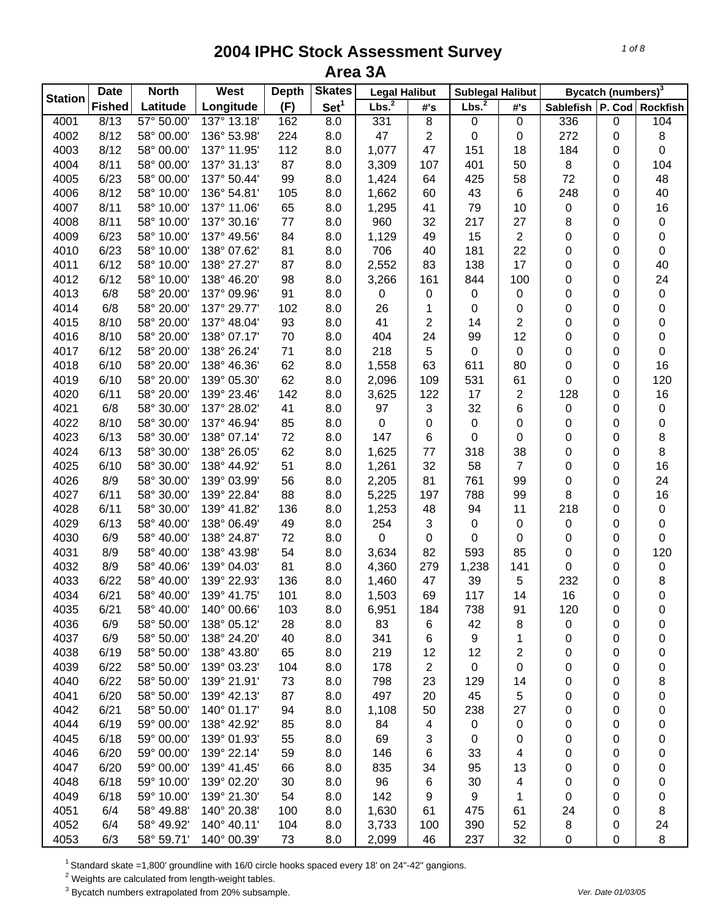| <b>Station</b> | <b>Date</b>   | <b>North</b> | West        | <b>Depth</b> | <b>Skates</b>    | <b>Legal Halibut</b> |                | <b>Sublegal Halibut</b> |                |                               | Bycatch (numbers) <sup>3</sup> |     |
|----------------|---------------|--------------|-------------|--------------|------------------|----------------------|----------------|-------------------------|----------------|-------------------------------|--------------------------------|-----|
|                | <b>Fished</b> | Latitude     | Longitude   | (F)          | Set <sup>1</sup> | Lbs. <sup>2</sup>    | #'s            | Lbs. <sup>2</sup>       | #'s            | Sablefish   P. Cod   Rockfish |                                |     |
| 4001           | 8/13          | 57° 50.00    | 137° 13.18' | 162          | 8.0              | 331                  | 8              | 0                       | 0              | 336                           | 0                              | 104 |
| 4002           | 8/12          | 58° 00.00'   | 136° 53.98' | 224          | 8.0              | 47                   | $\sqrt{2}$     | 0                       | 0              | 272                           | 0                              | 8   |
| 4003           | 8/12          | 58° 00.00'   | 137° 11.95' | 112          | 8.0              | 1,077                | 47             | 151                     | 18             | 184                           | 0                              | 0   |
| 4004           | 8/11          | 58° 00.00'   | 137° 31.13' | 87           | 8.0              | 3,309                | 107            | 401                     | 50             | $\bf 8$                       | 0                              | 104 |
| 4005           | 6/23          | 58° 00.00'   | 137° 50.44' | 99           | 8.0              | 1,424                | 64             | 425                     | 58             | 72                            | 0                              | 48  |
| 4006           | 8/12          | 58° 10.00'   | 136° 54.81' | 105          | 8.0              | 1,662                | 60             | 43                      | 6              | 248                           | 0                              | 40  |
| 4007           | 8/11          | 58° 10.00'   | 137° 11.06' | 65           | 8.0              | 1,295                | 41             | 79                      | 10             | $\pmb{0}$                     | 0                              | 16  |
| 4008           | 8/11          | 58° 10.00'   | 137° 30.16' | 77           | 8.0              | 960                  | 32             | 217                     | 27             | 8                             | 0                              | 0   |
| 4009           | 6/23          | 58° 10.00'   | 137° 49.56' | 84           | 8.0              | 1,129                | 49             | 15                      | $\overline{2}$ | $\pmb{0}$                     | 0                              | 0   |
| 4010           | 6/23          | 58° 10.00'   | 138° 07.62' | 81           | 8.0              | 706                  | 40             | 181                     | 22             | $\pmb{0}$                     | 0                              | 0   |
| 4011           | 6/12          | 58° 10.00'   | 138° 27.27' | 87           | 8.0              | 2,552                | 83             | 138                     | 17             | 0                             | 0                              | 40  |
| 4012           | 6/12          | 58° 10.00'   | 138° 46.20' | 98           | 8.0              | 3,266                | 161            | 844                     | 100            | 0                             | 0                              | 24  |
| 4013           | 6/8           | 58° 20.00'   | 137° 09.96' | 91           | 8.0              | $\pmb{0}$            | 0              | 0                       | 0              | 0                             | 0                              | 0   |
| 4014           | 6/8           | 58° 20.00'   | 137° 29.77' | 102          | 8.0              | 26                   | 1              | 0                       | 0              | 0                             | 0                              | 0   |
| 4015           | 8/10          | 58° 20.00'   | 137° 48.04' | 93           | 8.0              | 41                   | 2              | 14                      | $\overline{2}$ | 0                             | 0                              | 0   |
| 4016           | 8/10          | 58° 20.00'   | 138° 07.17' | 70           | 8.0              | 404                  | 24             | 99                      | 12             | 0                             | 0                              | 0   |
| 4017           | 6/12          | 58° 20.00'   | 138° 26.24' | 71           | 8.0              | 218                  | 5              | 0                       | 0              | 0                             | 0                              | 0   |
| 4018           | 6/10          | 58° 20.00'   | 138° 46.36' | 62           | 8.0              | 1,558                | 63             | 611                     | 80             | 0                             | 0                              | 16  |
| 4019           | 6/10          | 58° 20.00'   | 139° 05.30' | 62           | 8.0              | 2,096                | 109            | 531                     | 61             | 0                             | 0                              | 120 |
| 4020           | 6/11          | 58° 20.00'   | 139° 23.46' | 142          | 8.0              | 3,625                | 122            | 17                      | $\overline{c}$ | 128                           | 0                              | 16  |
| 4021           | 6/8           | 58° 30.00'   | 137° 28.02' | 41           | 8.0              | 97                   | $\sqrt{3}$     | 32                      | 6              | $\pmb{0}$                     | 0                              | 0   |
| 4022           | 8/10          | 58° 30.00'   | 137° 46.94' | 85           | 8.0              | $\boldsymbol{0}$     | 0              | 0                       | 0              | $\pmb{0}$                     | 0                              | 0   |
| 4023           | 6/13          | 58° 30.00'   | 138° 07.14' | 72           | 8.0              | 147                  | 6              | 0                       | 0              | 0                             | 0                              | 8   |
| 4024           | 6/13          | 58° 30.00'   | 138° 26.05' | 62           | 8.0              | 1,625                | 77             |                         | 38             | 0                             | 0                              | 8   |
|                | 6/10          |              | 138° 44.92' | 51           | 8.0              |                      | 32             | 318                     | $\overline{7}$ | $\pmb{0}$                     |                                | 16  |
| 4025           |               | 58° 30.00'   |             |              |                  | 1,261                |                | 58                      |                |                               | 0                              |     |
| 4026           | 8/9           | 58° 30.00'   | 139° 03.99' | 56           | 8.0              | 2,205                | 81             | 761                     | 99             | 0                             | 0                              | 24  |
| 4027           | 6/11          | 58° 30.00'   | 139° 22.84' | 88           | 8.0              | 5,225                | 197            | 788                     | 99             | 8                             | 0                              | 16  |
| 4028           | 6/11          | 58° 30.00'   | 139° 41.82' | 136          | 8.0              | 1,253                | 48             | 94                      | 11             | 218                           | 0                              | 0   |
| 4029           | 6/13          | 58° 40.00'   | 138° 06.49' | 49           | 8.0              | 254                  | 3              | 0                       | 0              | $\pmb{0}$                     | 0                              | 0   |
| 4030           | 6/9           | 58° 40.00'   | 138° 24.87' | 72           | 8.0              | $\boldsymbol{0}$     | 0              | 0                       | 0              | 0                             | 0                              | 0   |
| 4031           | 8/9           | 58° 40.00'   | 138° 43.98' | 54           | 8.0              | 3,634                | 82             | 593                     | 85             | 0                             | 0                              | 120 |
| 4032           | 8/9           | 58° 40.06'   | 139° 04.03' | 81           | 8.0              | 4,360                | 279            | 1,238                   | 141            | 0                             | 0                              | 0   |
| 4033           | 6/22          | 58° 40.00'   | 139° 22.93' | 136          | 8.0              | 1,460                | 47             | 39                      | 5              | 232                           | 0                              | 8   |
| 4034           | 6/21          | 58° 40.00'   | 139° 41.75' | 101          | 8.0              | 1,503                | 69             | 117                     | 14             | 16                            | 0                              | 0   |
| 4035           | 6/21          | 58° 40.00'   | 140° 00.66' | 103          | 8.0              | 6,951                | 184            | 738                     | 91             | 120                           | 0                              | 0   |
| 4036           | 6/9           | 58° 50.00'   | 138° 05.12' | 28           | 8.0              | 83                   | 6              | 42                      | 8              | 0                             | 0                              | 0   |
| 4037           | 6/9           | 58° 50.00'   | 138° 24.20' | 40           | 8.0              | 341                  | 6              | 9                       | 1              | 0                             | 0                              | 0   |
| 4038           | 6/19          | 58° 50.00'   | 138° 43.80' | 65           | 8.0              | 219                  | 12             | 12                      | $\overline{c}$ | 0                             | 0                              | 0   |
| 4039           | 6/22          | 58° 50.00'   | 139° 03.23' | 104          | 8.0              | 178                  | $\overline{2}$ | 0                       | 0              | 0                             | 0                              | 0   |
| 4040           | 6/22          | 58° 50.00'   | 139° 21.91' | 73           | 8.0              | 798                  | 23             | 129                     | 14             | 0                             | 0                              | 8   |
| 4041           | 6/20          | 58° 50.00'   | 139° 42.13' | 87           | 8.0              | 497                  | 20             | 45                      | 5              | 0                             | 0                              | 0   |
| 4042           | 6/21          | 58° 50.00'   | 140° 01.17' | 94           | 8.0              | 1,108                | 50             | 238                     | 27             | 0                             | 0                              | 0   |
| 4044           | 6/19          | 59° 00.00'   | 138° 42.92' | 85           | 8.0              | 84                   | $\overline{4}$ | 0                       | 0              | 0                             | 0                              | 0   |
| 4045           | 6/18          | 59° 00.00'   | 139° 01.93' | 55           | 8.0              | 69                   | 3              | 0                       | 0              | 0                             | 0                              | 0   |
| 4046           | 6/20          | 59° 00.00'   | 139° 22.14' | 59           | 8.0              | 146                  | 6              | 33                      | 4              | 0                             | 0                              | 0   |
| 4047           | 6/20          | 59° 00.00'   | 139° 41.45' | 66           | 8.0              | 835                  | 34             | 95                      | 13             | 0                             | 0                              | 0   |
| 4048           | 6/18          | 59° 10.00'   | 139° 02.20' | 30           | 8.0              | 96                   | 6              | 30                      | 4              | 0                             | 0                              | 0   |
| 4049           | 6/18          | 59° 10.00'   | 139° 21.30' | 54           | 8.0              | 142                  | 9              | 9                       | 1              | 0                             | 0                              | 0   |
| 4051           | 6/4           | 58° 49.88'   | 140° 20.38' | 100          | 8.0              | 1,630                | 61             | 475                     | 61             | 24                            | 0                              | 8   |
| 4052           | 6/4           | 58° 49.92'   | 140° 40.11' | 104          | 8.0              | 3,733                | 100            | 390                     | 52             | 8                             | 0                              | 24  |
| 4053           | 6/3           | 58° 59.71'   | 140° 00.39' | 73           | 8.0              | 2,099                | 46             | 237                     | 32             | 0                             | 0                              | 8   |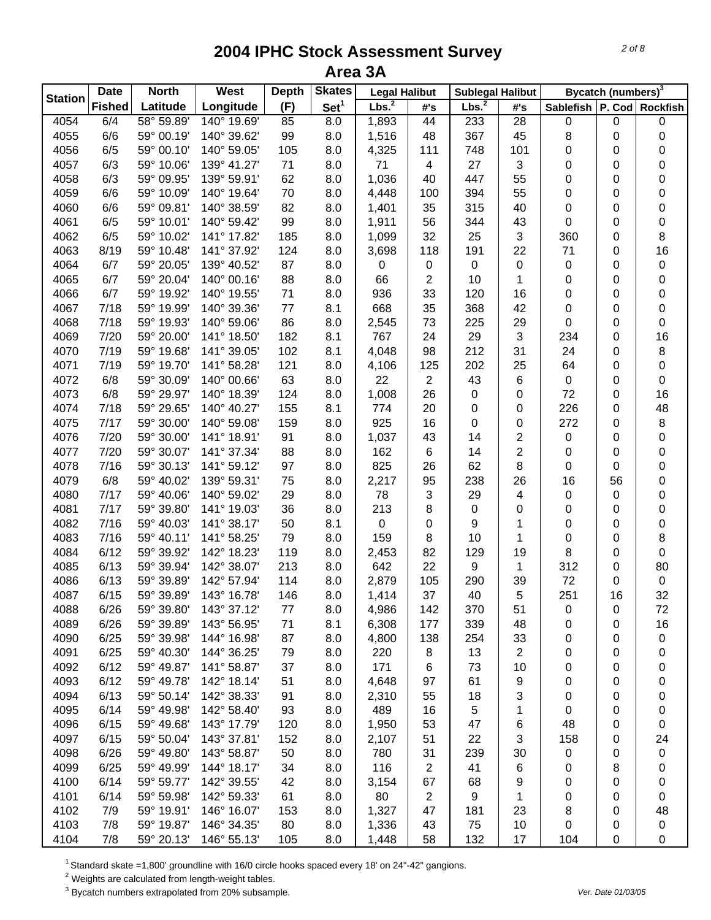| <b>Station</b><br>Set <sup>1</sup><br>Lbs. <sup>2</sup><br>Lbs. <sup>2</sup><br><b>Fished</b><br>Latitude<br>Longitude<br>Sablefish   P. Cod   Rockfish<br>(F)<br>#'s<br>#'s<br>58° 59.89'<br>4054<br>6/4<br>140° 19.69'<br>85<br>8.0<br>1,893<br>44<br>233<br>28<br>0<br>$\pmb{0}$<br>8<br>4055<br>6/6<br>59° 00.19'<br>140° 39.62'<br>99<br>8.0<br>1,516<br>48<br>367<br>45<br>0<br>6/5<br>4056<br>59° 00.10'<br>140° 59.05'<br>105<br>8.0<br>4,325<br>748<br>101<br>0<br>111<br>0<br>6/3<br>$\sqrt{3}$<br>4057<br>59° 10.06'<br>139° 41.27'<br>71<br>8.0<br>71<br>27<br>0<br>0<br>4<br>6/3<br>62<br>55<br>4058<br>59° 09.95'<br>139° 59.91'<br>8.0<br>1,036<br>40<br>447<br>0<br>0<br>6/6<br>0<br>4059<br>59° 10.09'<br>140° 19.64'<br>70<br>8.0<br>4,448<br>394<br>55<br>0<br>100<br>4060<br>6/6<br>59° 09.81'<br>140° 38.59'<br>82<br>8.0<br>1,401<br>35<br>315<br>40<br>0<br>0<br>6/5<br>99<br>0<br>4061<br>59° 10.01'<br>140° 59.42'<br>8.0<br>1,911<br>56<br>344<br>43<br>0<br>6/5<br>59° 10.02'<br>185<br>32<br>$\mathbf{3}$<br>0<br>4062<br>141° 17.82'<br>8.0<br>1,099<br>25<br>360<br>191<br>22<br>4063<br>8/19<br>59° 10.48'<br>141° 37.92'<br>124<br>8.0<br>118<br>71<br>0 | Bycatch (numbers) <sup>3</sup> |
|------------------------------------------------------------------------------------------------------------------------------------------------------------------------------------------------------------------------------------------------------------------------------------------------------------------------------------------------------------------------------------------------------------------------------------------------------------------------------------------------------------------------------------------------------------------------------------------------------------------------------------------------------------------------------------------------------------------------------------------------------------------------------------------------------------------------------------------------------------------------------------------------------------------------------------------------------------------------------------------------------------------------------------------------------------------------------------------------------------------------------------------------------------------------------------------|--------------------------------|
|                                                                                                                                                                                                                                                                                                                                                                                                                                                                                                                                                                                                                                                                                                                                                                                                                                                                                                                                                                                                                                                                                                                                                                                          |                                |
|                                                                                                                                                                                                                                                                                                                                                                                                                                                                                                                                                                                                                                                                                                                                                                                                                                                                                                                                                                                                                                                                                                                                                                                          | $\pmb{0}$                      |
|                                                                                                                                                                                                                                                                                                                                                                                                                                                                                                                                                                                                                                                                                                                                                                                                                                                                                                                                                                                                                                                                                                                                                                                          | 0                              |
|                                                                                                                                                                                                                                                                                                                                                                                                                                                                                                                                                                                                                                                                                                                                                                                                                                                                                                                                                                                                                                                                                                                                                                                          | 0                              |
|                                                                                                                                                                                                                                                                                                                                                                                                                                                                                                                                                                                                                                                                                                                                                                                                                                                                                                                                                                                                                                                                                                                                                                                          | 0                              |
|                                                                                                                                                                                                                                                                                                                                                                                                                                                                                                                                                                                                                                                                                                                                                                                                                                                                                                                                                                                                                                                                                                                                                                                          | 0                              |
|                                                                                                                                                                                                                                                                                                                                                                                                                                                                                                                                                                                                                                                                                                                                                                                                                                                                                                                                                                                                                                                                                                                                                                                          | 0                              |
|                                                                                                                                                                                                                                                                                                                                                                                                                                                                                                                                                                                                                                                                                                                                                                                                                                                                                                                                                                                                                                                                                                                                                                                          | $\,0\,$                        |
|                                                                                                                                                                                                                                                                                                                                                                                                                                                                                                                                                                                                                                                                                                                                                                                                                                                                                                                                                                                                                                                                                                                                                                                          | $\,0\,$                        |
|                                                                                                                                                                                                                                                                                                                                                                                                                                                                                                                                                                                                                                                                                                                                                                                                                                                                                                                                                                                                                                                                                                                                                                                          | $\bf 8$                        |
| 3,698                                                                                                                                                                                                                                                                                                                                                                                                                                                                                                                                                                                                                                                                                                                                                                                                                                                                                                                                                                                                                                                                                                                                                                                    | 16                             |
| 4064<br>6/7<br>59° 20.05'<br>139° 40.52'<br>87<br>8.0<br>0<br>0<br>$\pmb{0}$<br>0<br>0<br>$\mathbf 0$                                                                                                                                                                                                                                                                                                                                                                                                                                                                                                                                                                                                                                                                                                                                                                                                                                                                                                                                                                                                                                                                                    | 0                              |
| 88<br>4065<br>6/7<br>59° 20.04'<br>140° 00.16'<br>8.0<br>66<br>2<br>10<br>1<br>0<br>0                                                                                                                                                                                                                                                                                                                                                                                                                                                                                                                                                                                                                                                                                                                                                                                                                                                                                                                                                                                                                                                                                                    | 0                              |
| 6/7<br>936<br>33<br>4066<br>59° 19.92'<br>140° 19.55'<br>71<br>8.0<br>120<br>16<br>0<br>0                                                                                                                                                                                                                                                                                                                                                                                                                                                                                                                                                                                                                                                                                                                                                                                                                                                                                                                                                                                                                                                                                                | 0                              |
| 77<br>668<br>35<br>368<br>4067<br>7/18<br>8.1<br>42<br>0<br>59° 19.99'<br>140° 39.36'<br>0                                                                                                                                                                                                                                                                                                                                                                                                                                                                                                                                                                                                                                                                                                                                                                                                                                                                                                                                                                                                                                                                                               | 0                              |
| 86<br>73<br>4068<br>7/18<br>59° 19.93'<br>140° 59.06'<br>8.0<br>225<br>29<br>0<br>0<br>2,545                                                                                                                                                                                                                                                                                                                                                                                                                                                                                                                                                                                                                                                                                                                                                                                                                                                                                                                                                                                                                                                                                             | $\pmb{0}$                      |
| 182<br>4069<br>7/20<br>59° 20.00'<br>141° 18.50'<br>8.1<br>767<br>24<br>29<br>3<br>234<br>0                                                                                                                                                                                                                                                                                                                                                                                                                                                                                                                                                                                                                                                                                                                                                                                                                                                                                                                                                                                                                                                                                              | 16                             |
| 7/19<br>102<br>212<br>4070<br>59° 19.68'<br>141° 39.05'<br>8.1<br>4,048<br>98<br>31<br>24<br>0                                                                                                                                                                                                                                                                                                                                                                                                                                                                                                                                                                                                                                                                                                                                                                                                                                                                                                                                                                                                                                                                                           | $\bf 8$                        |
| 7/19<br>121<br>202<br>4071<br>59° 19.70'<br>141° 58.28'<br>8.0<br>125<br>25<br>64<br>4,106<br>0                                                                                                                                                                                                                                                                                                                                                                                                                                                                                                                                                                                                                                                                                                                                                                                                                                                                                                                                                                                                                                                                                          | 0                              |
| 6/8<br>63<br>4072<br>59° 30.09'<br>140° 00.66'<br>8.0<br>22<br>$\overline{2}$<br>43<br>6<br>$\pmb{0}$<br>0                                                                                                                                                                                                                                                                                                                                                                                                                                                                                                                                                                                                                                                                                                                                                                                                                                                                                                                                                                                                                                                                               | $\mathbf 0$                    |
| 6/8<br>124<br>26<br>4073<br>59° 29.97'<br>140° 18.39'<br>8.0<br>1,008<br>0<br>72<br>0<br>0                                                                                                                                                                                                                                                                                                                                                                                                                                                                                                                                                                                                                                                                                                                                                                                                                                                                                                                                                                                                                                                                                               | 16                             |
| 7/18<br>59° 29.65'<br>155<br>4074<br>140° 40.27'<br>8.1<br>774<br>20<br>0<br>226<br>0<br>0                                                                                                                                                                                                                                                                                                                                                                                                                                                                                                                                                                                                                                                                                                                                                                                                                                                                                                                                                                                                                                                                                               | 48                             |
| 7/17<br>59° 30.00'<br>925<br>4075<br>140° 59.08'<br>159<br>8.0<br>16<br>0<br>0<br>272<br>0                                                                                                                                                                                                                                                                                                                                                                                                                                                                                                                                                                                                                                                                                                                                                                                                                                                                                                                                                                                                                                                                                               | $\bf 8$                        |
| 91<br>2<br>7/20<br>59° 30.00'<br>8.0<br>1,037<br>43<br>14<br>0<br>0<br>4076<br>141° 18.91'                                                                                                                                                                                                                                                                                                                                                                                                                                                                                                                                                                                                                                                                                                                                                                                                                                                                                                                                                                                                                                                                                               | 0                              |
| $\overline{2}$<br>162<br>7/20<br>59° 30.07'<br>88<br>8.0<br>6<br>14<br>0<br>0<br>4077<br>141° 37.34'                                                                                                                                                                                                                                                                                                                                                                                                                                                                                                                                                                                                                                                                                                                                                                                                                                                                                                                                                                                                                                                                                     | $\pmb{0}$                      |
| 825<br>26<br>62<br>8<br>0<br>4078<br>7/16<br>59° 30.13'<br>141° 59.12'<br>97<br>8.0<br>0                                                                                                                                                                                                                                                                                                                                                                                                                                                                                                                                                                                                                                                                                                                                                                                                                                                                                                                                                                                                                                                                                                 | $\pmb{0}$                      |
| 6/8<br>59° 40.02'<br>139° 59.31'<br>238<br>26<br>16<br>4079<br>75<br>8.0<br>2,217<br>95<br>56                                                                                                                                                                                                                                                                                                                                                                                                                                                                                                                                                                                                                                                                                                                                                                                                                                                                                                                                                                                                                                                                                            | $\pmb{0}$                      |
| 4080<br>7/17<br>59° 40.06'<br>140° 59.02'<br>29<br>8.0<br>78<br>3<br>29<br>4<br>0<br>0                                                                                                                                                                                                                                                                                                                                                                                                                                                                                                                                                                                                                                                                                                                                                                                                                                                                                                                                                                                                                                                                                                   | 0                              |
| 7/17<br>213<br>8<br>4081<br>59° 39.80'<br>141° 19.03'<br>36<br>8.0<br>0<br>0<br>0<br>0                                                                                                                                                                                                                                                                                                                                                                                                                                                                                                                                                                                                                                                                                                                                                                                                                                                                                                                                                                                                                                                                                                   | 0                              |
| 7/16<br>4082<br>59° 40.03'<br>141° 38.17'<br>50<br>8.1<br>0<br>9<br>1<br>0<br>0<br>0                                                                                                                                                                                                                                                                                                                                                                                                                                                                                                                                                                                                                                                                                                                                                                                                                                                                                                                                                                                                                                                                                                     | 0                              |
| 159<br>4083<br>7/16<br>59° 40.11'<br>141° 58.25'<br>79<br>8.0<br>8<br>10<br>1<br>0<br>0                                                                                                                                                                                                                                                                                                                                                                                                                                                                                                                                                                                                                                                                                                                                                                                                                                                                                                                                                                                                                                                                                                  | $\bf 8$                        |
| 8<br>4084<br>6/12<br>119<br>2,453<br>82<br>129<br>19<br>59° 39.92'<br>142° 18.23'<br>8.0<br>0                                                                                                                                                                                                                                                                                                                                                                                                                                                                                                                                                                                                                                                                                                                                                                                                                                                                                                                                                                                                                                                                                            | $\mathbf 0$                    |
| 4085<br>6/13<br>59° 39.94'<br>142° 38.07'<br>213<br>642<br>22<br>9<br>312<br>8.0<br>1<br>0                                                                                                                                                                                                                                                                                                                                                                                                                                                                                                                                                                                                                                                                                                                                                                                                                                                                                                                                                                                                                                                                                               | 80                             |
| 4086<br>6/13<br>59° 39.89'<br>142° 57.94'<br>114<br>2,879<br>105<br>39<br>72<br>0<br>8.0<br>290                                                                                                                                                                                                                                                                                                                                                                                                                                                                                                                                                                                                                                                                                                                                                                                                                                                                                                                                                                                                                                                                                          | $\pmb{0}$                      |
| 4087<br>37<br>40<br>251<br>6/15<br>143° 16.78'<br>146<br>8.0<br>5<br>16<br>59° 39.89'<br>1,414                                                                                                                                                                                                                                                                                                                                                                                                                                                                                                                                                                                                                                                                                                                                                                                                                                                                                                                                                                                                                                                                                           | 32                             |
| 6/26<br>59° 39.80'<br>143° 37.12'<br>4088<br>8.0<br>142<br>370<br>77<br>4,986<br>51<br>0<br>0                                                                                                                                                                                                                                                                                                                                                                                                                                                                                                                                                                                                                                                                                                                                                                                                                                                                                                                                                                                                                                                                                            | 72                             |
| 4089<br>6/26<br>59° 39.89'<br>143° 56.95'<br>8.1<br>339<br>71<br>6,308<br>177<br>48<br>0<br>0                                                                                                                                                                                                                                                                                                                                                                                                                                                                                                                                                                                                                                                                                                                                                                                                                                                                                                                                                                                                                                                                                            | 16                             |
| 6/25<br>59° 39.98'<br>144° 16.98'<br>87<br>4090<br>8.0<br>4,800<br>138<br>254<br>33<br>0<br>0                                                                                                                                                                                                                                                                                                                                                                                                                                                                                                                                                                                                                                                                                                                                                                                                                                                                                                                                                                                                                                                                                            | 0                              |
| 6/25<br>59° 40.30'<br>79<br>220<br>13<br>$\overline{2}$<br>4091<br>144° 36.25'<br>8.0<br>8<br>0<br>0                                                                                                                                                                                                                                                                                                                                                                                                                                                                                                                                                                                                                                                                                                                                                                                                                                                                                                                                                                                                                                                                                     | 0                              |
| 6/12<br>171<br>37<br>73<br>4092<br>59° 49.87'<br>141° 58.87'<br>8.0<br>6<br>10<br>0<br>0                                                                                                                                                                                                                                                                                                                                                                                                                                                                                                                                                                                                                                                                                                                                                                                                                                                                                                                                                                                                                                                                                                 | 0                              |
| 4093<br>6/12<br>59° 49.78'<br>51<br>8.0<br>61<br>9<br>0<br>142° 18.14'<br>4,648<br>97<br>0                                                                                                                                                                                                                                                                                                                                                                                                                                                                                                                                                                                                                                                                                                                                                                                                                                                                                                                                                                                                                                                                                               | 0                              |
| 4094<br>6/13<br>59° 50.14'<br>142° 38.33'<br>8.0<br>3<br>0<br>91<br>2,310<br>55<br>18<br>0                                                                                                                                                                                                                                                                                                                                                                                                                                                                                                                                                                                                                                                                                                                                                                                                                                                                                                                                                                                                                                                                                               | 0                              |
| 5<br>6/14<br>59° 49.98'<br>142° 58.40'<br>489<br>16<br>0<br>4095<br>93<br>8.0<br>1<br>0                                                                                                                                                                                                                                                                                                                                                                                                                                                                                                                                                                                                                                                                                                                                                                                                                                                                                                                                                                                                                                                                                                  | 0                              |
| 4096<br>59° 49.68'<br>143° 17.79'<br>1,950<br>53<br>6/15<br>120<br>8.0<br>47<br>6<br>48<br>0                                                                                                                                                                                                                                                                                                                                                                                                                                                                                                                                                                                                                                                                                                                                                                                                                                                                                                                                                                                                                                                                                             | 0                              |
| 4097<br>6/15<br>143° 37.81'<br>22<br>3<br>59° 50.04'<br>152<br>8.0<br>2,107<br>51<br>158<br>0                                                                                                                                                                                                                                                                                                                                                                                                                                                                                                                                                                                                                                                                                                                                                                                                                                                                                                                                                                                                                                                                                            | 24                             |
| 4098<br>143° 58.87'<br>31<br>239<br>6/26<br>59° 49.80'<br>50<br>8.0<br>780<br>0<br>0<br>30                                                                                                                                                                                                                                                                                                                                                                                                                                                                                                                                                                                                                                                                                                                                                                                                                                                                                                                                                                                                                                                                                               | $\pmb{0}$                      |
| 4099<br>116<br>6/25<br>59° 49.99'<br>144° 18.17'<br>34<br>8.0<br>2<br>41<br>6<br>8<br>0                                                                                                                                                                                                                                                                                                                                                                                                                                                                                                                                                                                                                                                                                                                                                                                                                                                                                                                                                                                                                                                                                                  | 0                              |
| 6/14<br>4100<br>59° 59.77'<br>142° 39.55'<br>42<br>8.0<br>3,154<br>67<br>68<br>9<br>0<br>0                                                                                                                                                                                                                                                                                                                                                                                                                                                                                                                                                                                                                                                                                                                                                                                                                                                                                                                                                                                                                                                                                               | 0                              |
| 4101<br>6/14<br>59° 59.98'<br>142° 59.33'<br>61<br>8.0<br>80<br>$\overline{c}$<br>9<br>1<br>0<br>0                                                                                                                                                                                                                                                                                                                                                                                                                                                                                                                                                                                                                                                                                                                                                                                                                                                                                                                                                                                                                                                                                       | 0                              |
| 4102<br>7/9<br>59° 19.91'<br>146° 16.07'<br>153<br>1,327<br>47<br>181<br>23<br>8<br>0<br>8.0                                                                                                                                                                                                                                                                                                                                                                                                                                                                                                                                                                                                                                                                                                                                                                                                                                                                                                                                                                                                                                                                                             | 48                             |
| 7/8<br>4103<br>59° 19.87'<br>146° 34.35'<br>80<br>75<br>10<br>0<br>8.0<br>1,336<br>43<br>0                                                                                                                                                                                                                                                                                                                                                                                                                                                                                                                                                                                                                                                                                                                                                                                                                                                                                                                                                                                                                                                                                               | 0                              |
| 4104<br>7/8<br>132<br>0<br>59° 20.13'<br>146° 55.13'<br>105<br>8.0<br>1,448<br>58<br>17<br>104                                                                                                                                                                                                                                                                                                                                                                                                                                                                                                                                                                                                                                                                                                                                                                                                                                                                                                                                                                                                                                                                                           | $\pmb{0}$                      |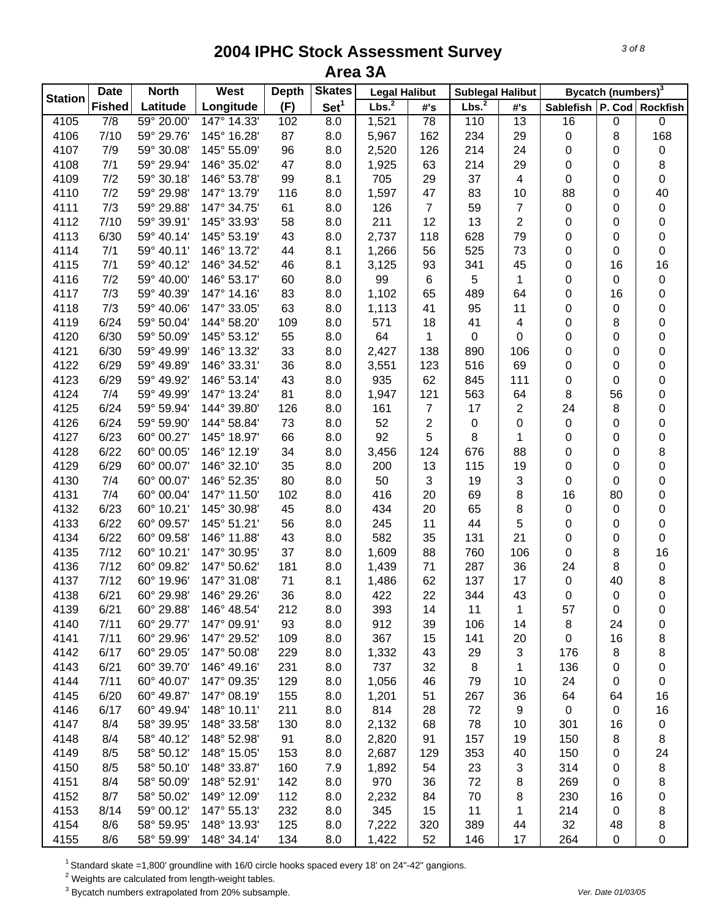| <b>Station</b> | <b>Date</b>   | <b>North</b>             | West                       | <b>Depth</b> | <b>Skates</b>    | <b>Legal Halibut</b> |                 | <b>Sublegal Halibut</b> |                         |                               | Bycatch (numbers) <sup>3</sup> |             |
|----------------|---------------|--------------------------|----------------------------|--------------|------------------|----------------------|-----------------|-------------------------|-------------------------|-------------------------------|--------------------------------|-------------|
|                | <b>Fished</b> | Latitude                 | Longitude                  | (F)          | Set <sup>1</sup> | Lbs. <sup>2</sup>    | #'s             | Lbs. <sup>2</sup>       | #'s                     | Sablefish   P. Cod   Rockfish |                                |             |
| 4105           | 7/8           | 59° 20.00'               | 147° 14.33'                | 102          | 8.0              | 1,521                | $\overline{78}$ | 110                     | 13                      | 16                            | 0                              | $\mathbf 0$ |
| 4106           | 7/10          | 59° 29.76'               | 145° 16.28'                | 87           | 8.0              | 5,967                | 162             | 234                     | 29                      | 0                             | 8                              | 168         |
| 4107           | 7/9           | 59° 30.08'               | 145° 55.09'                | 96           | 8.0              | 2,520                | 126             | 214                     | 24                      | 0                             | 0                              | $\pmb{0}$   |
| 4108           | 7/1           | 59° 29.94'               | 146° 35.02'                | 47           | 8.0              | 1,925                | 63              | 214                     | 29                      | 0                             | 0                              | 8           |
| 4109           | 7/2           | 59° 30.18'               | 146° 53.78'                | 99           | 8.1              | 705                  | 29              | 37                      | $\overline{\mathbf{4}}$ | 0                             | 0                              | $\pmb{0}$   |
| 4110           | 7/2           | 59° 29.98'               | 147° 13.79'                | 116          | 8.0              | 1,597                | 47              | 83                      | 10                      | 88                            | 0                              | 40          |
| 4111           | 7/3           | 59° 29.88'               | 147° 34.75'                | 61           | 8.0              | 126                  | $\overline{7}$  | 59                      | $\overline{7}$          | $\pmb{0}$                     | 0                              | $\pmb{0}$   |
| 4112           | 7/10          | 59° 39.91'               | 145° 33.93'                | 58           | 8.0              | 211                  | 12              | 13                      | $\overline{2}$          | 0                             | 0                              | $\pmb{0}$   |
| 4113           | 6/30          | 59° 40.14'               | 145° 53.19'                | 43           | 8.0              | 2,737                | 118             | 628                     | 79                      | 0                             | 0                              | $\pmb{0}$   |
| 4114           | 7/1           | 59° 40.11'               | 146° 13.72'                | 44           | 8.1              | 1,266                | 56              | 525                     | 73                      | 0                             | 0                              | $\pmb{0}$   |
| 4115           | 7/1           | 59° 40.12'               | 146° 34.52'                | 46           | 8.1              | 3,125                | 93              | 341                     | 45                      | 0                             | 16                             | 16          |
| 4116           | 7/2           | 59° 40.00'               | 146° 53.17'                | 60           | 8.0              | 99                   | $\,6\,$         | 5                       | 1                       | 0                             | 0                              | $\pmb{0}$   |
| 4117           | 7/3           | 59° 40.39'               | 147° 14.16'                | 83           | 8.0              | 1,102                | 65              | 489                     | 64                      | 0                             | 16                             | 0           |
| 4118           | 7/3           | 59° 40.06'               | 147° 33.05'                | 63           | 8.0              | 1,113                | 41              | 95                      | 11                      | 0                             | 0                              | 0           |
| 4119           | 6/24          | 59° 50.04'               | 144° 58.20'                | 109          | 8.0              | 571                  | 18              | 41                      | $\overline{\mathbf{4}}$ | 0                             | 8                              | 0           |
| 4120           | 6/30          | 59° 50.09'               | 145° 53.12'                | 55           | 8.0              | 64                   | 1               | 0                       | 0                       | 0                             | 0                              | 0           |
| 4121           | 6/30          | 59° 49.99'               | 146° 13.32'                | 33           | 8.0              | 2,427                | 138             | 890                     | 106                     | 0                             | 0                              | 0           |
| 4122           | 6/29          | 59° 49.89'               | 146° 33.31'                | 36           | 8.0              | 3,551                | 123             | 516                     | 69                      | 0                             | 0                              | 0           |
| 4123           | 6/29          | 59° 49.92'               | 146° 53.14'                | 43           | 8.0              | 935                  | 62              | 845                     | 111                     | 0                             | 0                              | 0           |
| 4124           | 7/4           | 59° 49.99'               | 147° 13.24'                | 81           | 8.0              | 1,947                | 121             | 563                     | 64                      | 8                             | 56                             | 0           |
| 4125           | 6/24          | 59° 59.94'               | 144° 39.80'                | 126          | 8.0              | 161                  | $\overline{7}$  | 17                      | $\overline{2}$          | 24                            | 8                              | 0           |
| 4126           | 6/24          | 59° 59.90'               | 144° 58.84'                | 73           | 8.0              | 52                   | $\mathbf{2}$    | $\pmb{0}$               | 0                       | 0                             | 0                              | 0           |
| 4127           | 6/23          | 60° 00.27'               | 145° 18.97'                | 66           | 8.0              | 92                   | 5               | 8                       | 1                       | 0                             | 0                              | 0           |
| 4128           | 6/22          | 60° 00.05'               | 146° 12.19'                | 34           | 8.0              | 3,456                | 124             | 676                     | 88                      | 0                             | 0                              | 8           |
| 4129           | 6/29          | 60° 00.07'               | 146° 32.10'                | 35           | 8.0              | 200                  | 13              | 115                     | 19                      | 0                             | 0                              | $\pmb{0}$   |
| 4130           | 7/4           | 60° 00.07'               | 146° 52.35'                | 80           | 8.0              | 50                   | 3               | 19                      | $\sqrt{3}$              | 0                             | 0                              | 0           |
| 4131           | 7/4           | 60° 00.04'               | 147° 11.50'                | 102          | 8.0              | 416                  | 20              | 69                      | 8                       | 16                            | 80                             | 0           |
| 4132           | 6/23          | 60° 10.21'               | 145° 30.98'                | 45           | 8.0              | 434                  | 20              | 65                      | 8                       | 0                             | 0                              | 0           |
| 4133           | 6/22          | 60° 09.57'               | 145° 51.21'                | 56           | 8.0              | 245                  | 11              | 44                      | 5                       | 0                             | 0                              | $\pmb{0}$   |
| 4134           | 6/22          | 60° 09.58'               | 146° 11.88'                | 43           | 8.0              | 582                  | 35              | 131                     | 21                      | 0                             | 0                              | $\pmb{0}$   |
| 4135           | 7/12          | 60° 10.21'               | 147° 30.95'                | 37           | 8.0              | 1,609                | 88              | 760                     | 106                     | 0                             | 8                              | 16          |
| 4136           | 7/12          | 60° 09.82'               | 147° 50.62'                | 181          | 8.0              | 1,439                | 71              | 287                     | 36                      | 24                            | 8                              | 0           |
| 4137           | 7/12          | 60° 19.96'               | 147° 31.08'                | 71           | 8.1              | 1,486                | 62              | 137                     | 17                      | $\pmb{0}$                     | 40                             | 8           |
| 4138           | 6/21          | 60° 29.98'               | 146° 29.26'                | 36           | 8.0              | 422                  | 22              | 344                     | 43                      | 0                             | 0                              | $\pmb{0}$   |
| 4139           | 6/21          | 60° 29.88'               | 146° 48.54'                | 212          | 8.0              | 393                  | 14              | 11                      | 1                       | 57                            | 0                              | 0           |
| 4140           | 7/11          | 60° 29.77'               | 147° 09.91'                | 93           | 8.0              | 912                  | 39              | 106                     | 14                      | 8                             | 24                             | 0           |
| 4141           | 7/11          | 60° 29.96'               | 147° 29.52'                | 109          | 8.0              | 367                  | 15              | 141                     | 20                      | $\mathbf 0$                   | 16                             | 8           |
| 4142           | 6/17          | 60° 29.05'               | 147° 50.08'                | 229          | 8.0              | 1,332                | 43              | 29                      | 3                       | 176                           | 8                              | 8           |
| 4143           | 6/21          | 60° 39.70'               | 146° 49.16'                | 231          | 8.0              | 737                  | 32              | 8                       | 1                       | 136                           | 0                              | 0           |
| 4144           | 7/11          | 60° 40.07'               | 147° 09.35'                | 129          | 8.0              | 1,056                | 46              | 79                      | 10                      | 24                            | 0                              | 0           |
| 4145           | 6/20          | 60° 49.87'               | 147° 08.19'                | 155          | 8.0              | 1,201                | 51              | 267                     | 36                      | 64                            | 64                             | 16          |
| 4146           | 6/17          | 60° 49.94'               | 148° 10.11'                | 211          | 8.0              | 814                  | 28              | 72                      | 9                       | $\mathbf 0$                   | 0                              | 16          |
| 4147           | 8/4           | 58° 39.95'               | 148° 33.58'                | 130          | 8.0              | 2,132                | 68              | 78                      | 10                      | 301                           | 16                             | 0           |
| 4148           | 8/4           | 58° 40.12'               | 148° 52.98'                | 91           | 8.0              |                      | 91              | 157                     | 19                      | 150                           |                                |             |
| 4149           | 8/5           | 58° 50.12'               | 148° 15.05'                | 153          | 8.0              | 2,820<br>2,687       | 129             | 353                     | 40                      | 150                           | 8<br>0                         | 8<br>24     |
| 4150           | 8/5           | 58° 50.10'               | 148° 33.87'                | 160          |                  |                      | 54              | 23                      |                         | 314                           |                                |             |
|                |               | 58° 50.09'               |                            |              | 7.9              | 1,892                |                 |                         | 3                       |                               | 0                              | 8           |
| 4151<br>4152   | 8/4<br>8/7    | 58° 50.02'               | 148° 52.91'<br>149° 12.09' | 142<br>112   | 8.0              | 970                  | 36              | 72<br>70                | 8                       | 269<br>230                    | 0                              | 8           |
|                | 8/14          |                          |                            |              | 8.0              | 2,232                | 84              |                         | 8                       |                               | 16                             | 0           |
| 4153<br>4154   | 8/6           | 59° 00.12'<br>58° 59.95' | 147° 55.13'<br>148° 13.93' | 232<br>125   | 8.0              | 345                  | 15              | 11<br>389               | 1<br>44                 | 214<br>32                     | 0                              | 8           |
|                |               |                          | 148° 34.14'                |              | 8.0              | 7,222                | 320             | 146                     |                         |                               | 48                             | 8           |
| 4155           | 8/6           | 58° 59.99'               |                            | 134          | 8.0              | 1,422                | 52              |                         | 17                      | 264                           | 0                              | 0           |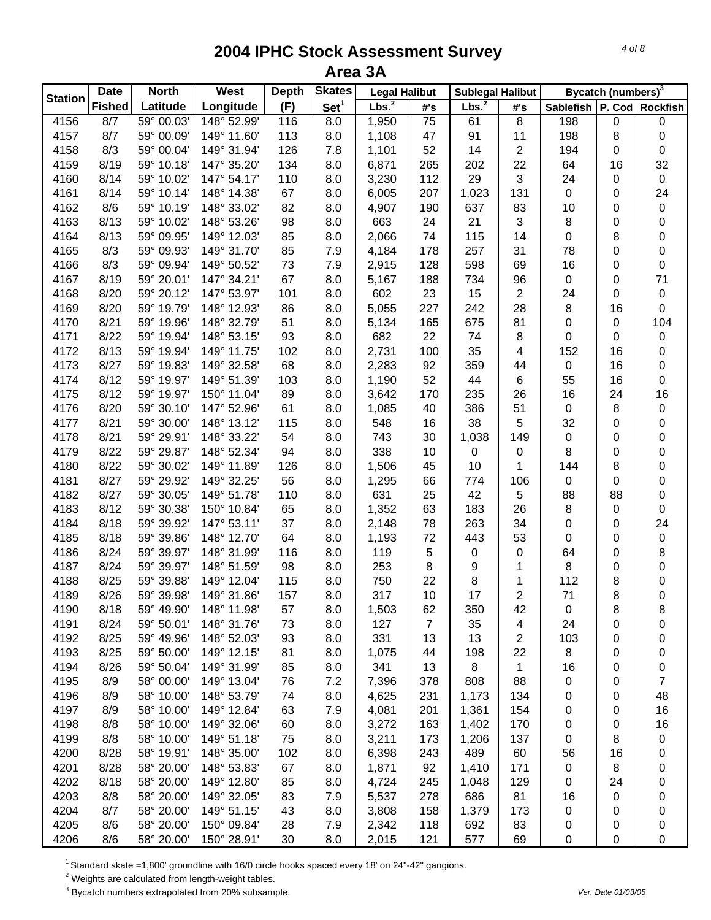| <b>Station</b> | <b>Date</b>   | <b>North</b> | West        | <b>Depth</b> | <b>Skates</b>    | <b>Legal Halibut</b> |                 | <b>Sublegal Halibut</b> |                         |                               | Bycatch (numbers) <sup>3</sup> |                |
|----------------|---------------|--------------|-------------|--------------|------------------|----------------------|-----------------|-------------------------|-------------------------|-------------------------------|--------------------------------|----------------|
|                | <b>Fished</b> | Latitude     | Longitude   | (F)          | Set <sup>1</sup> | Lbs. <sup>2</sup>    | #'s             | Lbs. <sup>2</sup>       | #'s                     | Sablefish   P. Cod   Rockfish |                                |                |
| 4156           | 8/7           | 59° 00.03'   | 148° 52.99' | 116          | 8.0              | 1,950                | $\overline{75}$ | 61                      | $\overline{8}$          | 198                           | 0                              | $\pmb{0}$      |
| 4157           | 8/7           | 59° 00.09'   | 149° 11.60' | 113          | 8.0              | 1,108                | 47              | 91                      | 11                      | 198                           | 8                              | 0              |
| 4158           | 8/3           | 59° 00.04'   | 149° 31.94' | 126          | 7.8              | 1,101                | 52              | 14                      | $\sqrt{2}$              | 194                           | 0                              | $\pmb{0}$      |
| 4159           | 8/19          | 59° 10.18'   | 147° 35.20' | 134          | 8.0              | 6,871                | 265             | 202                     | 22                      | 64                            | 16                             | 32             |
| 4160           | 8/14          | 59° 10.02'   | 147° 54.17' | 110          | 8.0              | 3,230                | 112             | 29                      | 3                       | 24                            | 0                              | $\pmb{0}$      |
| 4161           | 8/14          | 59° 10.14'   | 148° 14.38' | 67           | 8.0              | 6,005                | 207             | 1,023                   | 131                     | $\pmb{0}$                     | 0                              | 24             |
| 4162           | 8/6           | 59° 10.19'   | 148° 33.02' | 82           | 8.0              | 4,907                | 190             | 637                     | 83                      | 10                            | 0                              | $\pmb{0}$      |
| 4163           | 8/13          | 59° 10.02'   | 148° 53.26' | 98           | 8.0              | 663                  | 24              | 21                      | $\sqrt{3}$              | 8                             | 0                              | $\pmb{0}$      |
| 4164           | 8/13          | 59° 09.95'   | 149° 12.03' | 85           | 8.0              | 2,066                | 74              | 115                     | 14                      | $\pmb{0}$                     | 8                              | $\pmb{0}$      |
| 4165           | 8/3           | 59° 09.93'   | 149° 31.70' | 85           | 7.9              | 4,184                | 178             | 257                     | 31                      | 78                            | 0                              | $\pmb{0}$      |
| 4166           | 8/3           | 59° 09.94'   | 149° 50.52' | 73           | 7.9              | 2,915                | 128             | 598                     | 69                      | 16                            | 0                              | $\pmb{0}$      |
| 4167           | 8/19          | 59° 20.01'   | 147° 34.21' | 67           | 8.0              | 5,167                | 188             | 734                     | 96                      | $\pmb{0}$                     | 0                              | 71             |
| 4168           | 8/20          | 59° 20.12'   | 147° 53.97' | 101          | 8.0              | 602                  | 23              | 15                      | $\sqrt{2}$              | 24                            | 0                              | $\pmb{0}$      |
| 4169           | 8/20          | 59° 19.79'   | 148° 12.93' | 86           | 8.0              | 5,055                | 227             | 242                     | 28                      | 8                             | 16                             | $\pmb{0}$      |
| 4170           | 8/21          | 59° 19.96'   | 148° 32.79' | 51           | 8.0              | 5,134                | 165             | 675                     | 81                      | 0                             | 0                              | 104            |
| 4171           | 8/22          | 59° 19.94'   | 148° 53.15' | 93           | 8.0              | 682                  | 22              | 74                      | 8                       | 0                             | 0                              | $\pmb{0}$      |
| 4172           | 8/13          | 59° 19.94'   | 149° 11.75' | 102          | 8.0              | 2,731                | 100             | 35                      | $\overline{\mathbf{4}}$ | 152                           | 16                             | $\pmb{0}$      |
| 4173           | 8/27          | 59° 19.83'   | 149° 32.58' | 68           | 8.0              | 2,283                | 92              | 359                     | 44                      | $\pmb{0}$                     | 16                             | $\pmb{0}$      |
| 4174           | 8/12          | 59° 19.97'   | 149° 51.39' | 103          | 8.0              | 1,190                | 52              | 44                      | 6                       | 55                            | 16                             | $\pmb{0}$      |
| 4175           | 8/12          | 59° 19.97'   | 150° 11.04' | 89           | 8.0              | 3,642                | 170             | 235                     | 26                      | 16                            | 24                             | 16             |
| 4176           | 8/20          | 59° 30.10'   | 147° 52.96' | 61           | 8.0              | 1,085                | 40              | 386                     | 51                      | $\pmb{0}$                     | 8                              | $\pmb{0}$      |
| 4177           | 8/21          | 59° 30.00'   | 148° 13.12' | 115          | 8.0              | 548                  | 16              | 38                      | 5                       | 32                            | 0                              |                |
| 4178           | 8/21          | 59° 29.91'   | 148° 33.22' | 54           | 8.0              | 743                  | 30              | 1,038                   | 149                     | $\pmb{0}$                     | 0                              | 0<br>0         |
| 4179           | 8/22          | 59° 29.87'   | 148° 52.34' | 94           | 8.0              | 338                  | 10              | $\pmb{0}$               | 0                       | 8                             | 0                              |                |
|                | 8/22          |              | 149° 11.89' | 126          |                  |                      |                 |                         | 1                       |                               |                                | 0              |
| 4180           |               | 59° 30.02'   |             |              | 8.0              | 1,506                | 45              | 10                      |                         | 144                           | 8                              | 0              |
| 4181           | 8/27          | 59° 29.92'   | 149° 32.25' | 56           | 8.0              | 1,295                | 66              | 774                     | 106                     | $\mathbf 0$                   | 0                              | $\pmb{0}$      |
| 4182           | 8/27          | 59° 30.05'   | 149° 51.78' | 110          | 8.0              | 631                  | 25              | 42                      | 5                       | 88                            | 88                             | $\pmb{0}$      |
| 4183           | 8/12          | 59° 30.38'   | 150° 10.84' | 65           | 8.0              | 1,352                | 63              | 183                     | 26                      | 8                             | 0                              | $\mathbf 0$    |
| 4184           | 8/18          | 59° 39.92'   | 147° 53.11' | 37           | 8.0              | 2,148                | 78              | 263                     | 34                      | 0                             | 0                              | 24             |
| 4185           | 8/18          | 59° 39.86'   | 148° 12.70' | 64           | 8.0              | 1,193                | 72              | 443                     | 53                      | 0                             | 0                              | $\pmb{0}$      |
| 4186           | 8/24          | 59° 39.97'   | 148° 31.99' | 116          | 8.0              | 119                  | $\mathbf 5$     | 0                       | 0                       | 64                            | 0                              | 8              |
| 4187           | 8/24          | 59° 39.97'   | 148° 51.59' | 98           | 8.0              | 253                  | 8               | 9                       | 1                       | 8                             | 0                              | $\pmb{0}$      |
| 4188           | 8/25          | 59° 39.88'   | 149° 12.04' | 115          | 8.0              | 750                  | 22              | 8                       | 1                       | 112                           | 8                              | 0              |
| 4189           | 8/26          | 59° 39.98'   | 149° 31.86' | 157          | 8.0              | 317                  | 10              | 17                      | $\overline{2}$          | 71                            | 8                              | $\pmb{0}$      |
| 4190           | 8/18          | 59° 49.90'   | 148° 11.98' | 57           | 8.0              | 1,503                | 62              | 350                     | 42                      | 0                             | 8                              | 8              |
| 4191           | 8/24          | 59° 50.01'   | 148° 31.76' | 73           | 8.0              | 127                  | $\overline{7}$  | 35                      | 4                       | 24                            | 0                              | 0              |
| 4192           | 8/25          | 59° 49.96'   | 148° 52.03' | 93           | 8.0              | 331                  | 13              | 13                      | $\overline{2}$          | 103                           | 0                              | 0              |
| 4193           | 8/25          | 59° 50.00'   | 149° 12.15' | 81           | 8.0              | 1,075                | 44              | 198                     | 22                      | 8                             | 0                              | 0              |
| 4194           | 8/26          | 59° 50.04'   | 149° 31.99' | 85           | 8.0              | 341                  | 13              | 8                       | 1                       | 16                            | 0                              | 0              |
| 4195           | 8/9           | 58° 00.00'   | 149° 13.04' | 76           | 7.2              | 7,396                | 378             | 808                     | 88                      | 0                             | 0                              | $\overline{7}$ |
| 4196           | 8/9           | 58° 10.00'   | 148° 53.79' | 74           | 8.0              | 4,625                | 231             | 1,173                   | 134                     | 0                             | 0                              | 48             |
| 4197           | 8/9           | 58° 10.00'   | 149° 12.84' | 63           | 7.9              | 4,081                | 201             | 1,361                   | 154                     | 0                             | 0                              | 16             |
| 4198           | 8/8           | 58° 10.00'   | 149° 32.06' | 60           | 8.0              | 3,272                | 163             | 1,402                   | 170                     | 0                             | 0                              | 16             |
| 4199           | 8/8           | 58° 10.00'   | 149° 51.18' | 75           | 8.0              | 3,211                | 173             | 1,206                   | 137                     | 0                             | 8                              | 0              |
| 4200           | 8/28          | 58° 19.91'   | 148° 35.00' | 102          | 8.0              | 6,398                | 243             | 489                     | 60                      | 56                            | 16                             | 0              |
| 4201           | 8/28          | 58° 20.00'   | 148° 53.83' | 67           | 8.0              | 1,871                | 92              | 1,410                   | 171                     | 0                             | 8                              | 0              |
| 4202           | 8/18          | 58° 20.00'   | 149° 12.80' | 85           | 8.0              | 4,724                | 245             | 1,048                   | 129                     | 0                             | 24                             | 0              |
| 4203           | 8/8           | 58° 20.00'   | 149° 32.05' | 83           | 7.9              | 5,537                | 278             | 686                     | 81                      | 16                            | 0                              | 0              |
| 4204           | 8/7           | 58° 20.00'   | 149° 51.15' | 43           | 8.0              | 3,808                | 158             | 1,379                   | 173                     | 0                             | 0                              | 0              |
| 4205           | 8/6           | 58° 20.00'   | 150° 09.84' | 28           | 7.9              | 2,342                | 118             | 692                     | 83                      | 0                             | 0                              | 0              |
| 4206           | 8/6           | 58° 20.00'   | 150° 28.91' | 30           | 8.0              | 2,015                | 121             | 577                     | 69                      | 0                             | 0                              | 0              |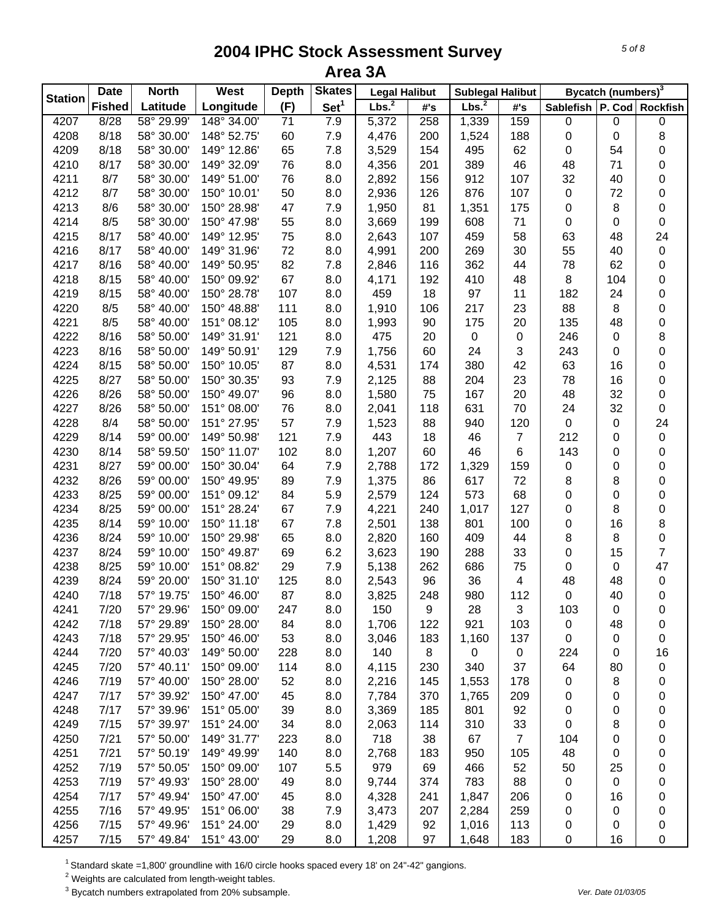| <b>Station</b> | <b>Date</b>   | <b>North</b> | West        | <b>Depth</b> | <b>Skates</b>    | <b>Legal Halibut</b> |                     | <b>Sublegal Halibut</b> |                |                               | Bycatch (numbers) <sup>3</sup> |                     |
|----------------|---------------|--------------|-------------|--------------|------------------|----------------------|---------------------|-------------------------|----------------|-------------------------------|--------------------------------|---------------------|
|                | <b>Fished</b> | Latitude     | Longitude   | (F)          | Set <sup>1</sup> | Lbs. <sup>2</sup>    | $\#^{\centerdot}$ s | Lbs. <sup>2</sup>       | #'s            | Sablefish   P. Cod   Rockfish |                                |                     |
| 4207           | 8/28          | 58° 29.99'   | 148° 34.00' | 71           | 7.9              | 5,372                | 258                 | 1,339                   | 159            | 0                             | 0                              | $\pmb{0}$           |
| 4208           | 8/18          | 58° 30.00'   | 148° 52.75' | 60           | 7.9              | 4,476                | 200                 | 1,524                   | 188            | 0                             | 0                              | 8                   |
| 4209           | 8/18          | 58° 30.00'   | 149° 12.86' | 65           | 7.8              | 3,529                | 154                 | 495                     | 62             | 0                             | 54                             | 0                   |
| 4210           | 8/17          | 58° 30.00'   | 149° 32.09' | 76           | 8.0              | 4,356                | 201                 | 389                     | 46             | 48                            | 71                             | 0                   |
| 4211           | 8/7           | 58° 30.00'   | 149° 51.00' | 76           | 8.0              | 2,892                | 156                 | 912                     | 107            | 32                            | 40                             | 0                   |
| 4212           | 8/7           | 58° 30.00'   | 150° 10.01' | 50           | 8.0              | 2,936                | 126                 | 876                     | 107            | $\pmb{0}$                     | 72                             | 0                   |
| 4213           | 8/6           | 58° 30.00'   | 150° 28.98' | 47           | 7.9              | 1,950                | 81                  | 1,351                   | 175            | $\pmb{0}$                     | 8                              | $\pmb{0}$           |
| 4214           | 8/5           | 58° 30.00'   | 150° 47.98' | 55           | 8.0              | 3,669                | 199                 | 608                     | 71             | $\pmb{0}$                     | 0                              | $\pmb{0}$           |
| 4215           | 8/17          | 58° 40.00'   | 149° 12.95' | 75           | 8.0              | 2,643                | 107                 | 459                     | 58             | 63                            | 48                             | 24                  |
| 4216           | 8/17          | 58° 40.00'   | 149° 31.96' | 72           | 8.0              | 4,991                | 200                 | 269                     | 30             | 55                            | 40                             | 0                   |
| 4217           | 8/16          | 58° 40.00'   | 149° 50.95' | 82           | 7.8              | 2,846                | 116                 | 362                     | 44             | 78                            | 62                             | 0                   |
| 4218           | 8/15          | 58° 40.00'   | 150° 09.92' | 67           | 8.0              | 4,171                | 192                 | 410                     | 48             | 8                             | 104                            | 0                   |
| 4219           | 8/15          | 58° 40.00'   | 150° 28.78' | 107          | 8.0              | 459                  | 18                  | 97                      | 11             | 182                           | 24                             | 0                   |
| 4220           | 8/5           | 58° 40.00'   | 150° 48.88' | 111          | 8.0              | 1,910                | 106                 | 217                     | 23             | 88                            | 8                              | 0                   |
| 4221           | 8/5           | 58° 40.00'   | 151° 08.12' | 105          | 8.0              | 1,993                | 90                  | 175                     | 20             | 135                           | 48                             | 0                   |
| 4222           | 8/16          | 58° 50.00'   | 149° 31.91' | 121          | 8.0              | 475                  | 20                  | 0                       | 0              | 246                           | 0                              | 8                   |
| 4223           | 8/16          | 58° 50.00'   | 149° 50.91' | 129          | 7.9              | 1,756                | 60                  | 24                      | 3              | 243                           | 0                              | 0                   |
| 4224           | 8/15          | 58° 50.00'   | 150° 10.05' | 87           | 8.0              | 4,531                | 174                 | 380                     | 42             | 63                            | 16                             | 0                   |
| 4225           | 8/27          | 58° 50.00'   | 150° 30.35' | 93           | 7.9              | 2,125                | 88                  | 204                     | 23             | 78                            | 16                             | 0                   |
| 4226           | 8/26          | 58° 50.00'   | 150° 49.07' | 96           | 8.0              | 1,580                | 75                  | 167                     | 20             | 48                            | 32                             | 0                   |
| 4227           | 8/26          | 58° 50.00'   | 151° 08.00' | 76           | 8.0              | 2,041                | 118                 | 631                     | 70             | 24                            | 32                             | $\pmb{0}$           |
| 4228           | 8/4           | 58° 50.00'   | 151° 27.95' | 57           | 7.9              | 1,523                | 88                  | 940                     | 120            | $\mathsf 0$                   | 0                              | 24                  |
| 4229           | 8/14          | 59° 00.00'   | 149° 50.98' | 121          | 7.9              | 443                  | 18                  | 46                      | $\overline{7}$ | 212                           | 0                              | $\pmb{0}$           |
| 4230           | 8/14          | 58° 59.50'   | 150° 11.07' | 102          | 8.0              | 1,207                | 60                  | 46                      | 6              | 143                           | 0                              | $\pmb{0}$           |
| 4231           | 8/27          | 59° 00.00'   | 150° 30.04' | 64           | 7.9              | 2,788                | 172                 | 1,329                   | 159            | $\pmb{0}$                     | 0                              | $\pmb{0}$           |
| 4232           | 8/26          | 59° 00.00'   | 150° 49.95' | 89           | 7.9              | 1,375                | 86                  | 617                     | 72             | 8                             | 8                              | 0                   |
| 4233           | 8/25          | 59° 00.00'   | 151° 09.12' | 84           | 5.9              | 2,579                | 124                 | 573                     | 68             | 0                             | 0                              | 0                   |
| 4234           | 8/25          | 59° 00.00'   | 151° 28.24' | 67           | 7.9              | 4,221                | 240                 | 1,017                   | 127            | 0                             | 8                              | 0                   |
| 4235           | 8/14          | 59° 10.00'   | 150° 11.18' | 67           | 7.8              | 2,501                | 138                 | 801                     | 100            | 0                             | 16                             | $\bf 8$             |
| 4236           | 8/24          | 59° 10.00'   | 150° 29.98' | 65           | 8.0              | 2,820                | 160                 | 409                     | 44             | 8                             | 8                              | $\mathsf{O}\xspace$ |
| 4237           | 8/24          | 59° 10.00'   | 150° 49.87' | 69           | 6.2              |                      | 190                 | 288                     | 33             | 0                             | 15                             | 7                   |
|                |               | 59° 10.00'   | 151° 08.82' |              |                  | 3,623                |                     |                         |                |                               |                                |                     |
| 4238           | 8/25          |              | 150° 31.10' | 29           | 7.9              | 5,138                | 262                 | 686                     | 75             | 0<br>48                       | 0<br>48                        | 47                  |
| 4239           | 8/24          | 59° 20.00'   |             | 125          | 8.0              | 2,543                | 96                  | 36                      | 4              | $\pmb{0}$                     |                                | $\pmb{0}$           |
| 4240           | 7/18          | 57° 19.75'   | 150° 46.00' | 87           | 8.0              | 3,825                | 248                 | 980                     | 112            |                               | 40                             | $\pmb{0}$           |
| 4241           | 7/20          | 57° 29.96'   | 150° 09.00' | 247          | 8.0              | 150                  | 9                   | 28                      | 3              | 103                           | 0                              | 0                   |
| 4242           | 7/18          | 57° 29.89'   | 150° 28.00' | 84           | 8.0              | 1,706                | 122                 | 921                     | 103            | 0                             | 48                             | 0                   |
| 4243           | 7/18          | 57° 29.95'   | 150° 46.00' | 53           | 8.0              | 3,046                | 183                 | 1,160                   | 137            | 0                             | 0                              | 0                   |
| 4244           | 7/20          | 57° 40.03'   | 149° 50.00' | 228          | 8.0              | 140                  | 8                   | $\mathbf 0$             | $\mathbf 0$    | 224                           | 0                              | 16                  |
| 4245           | 7/20          | 57° 40.11'   | 150° 09.00' | 114          | 8.0              | 4,115                | 230                 | 340                     | 37             | 64                            | 80                             | 0                   |
| 4246           | 7/19          | 57° 40.00'   | 150° 28.00' | 52           | 8.0              | 2,216                | 145                 | 1,553                   | 178            | $\mathbf 0$                   | 8                              | 0                   |
| 4247           | 7/17          | 57° 39.92'   | 150° 47.00' | 45           | 8.0              | 7,784                | 370                 | 1,765                   | 209            | 0                             | 0                              | 0                   |
| 4248           | 7/17          | 57° 39.96'   | 151° 05.00' | 39           | 8.0              | 3,369                | 185                 | 801                     | 92             | 0                             | 0                              | 0                   |
| 4249           | 7/15          | 57° 39.97'   | 151° 24.00' | 34           | 8.0              | 2,063                | 114                 | 310                     | 33             | 0                             | 8                              | 0                   |
| 4250           | 7/21          | 57° 50.00'   | 149° 31.77' | 223          | 8.0              | 718                  | 38                  | 67                      | $\overline{7}$ | 104                           | 0                              | 0                   |
| 4251           | 7/21          | 57° 50.19'   | 149° 49.99' | 140          | 8.0              | 2,768                | 183                 | 950                     | 105            | 48                            | 0                              | 0                   |
| 4252           | 7/19          | 57° 50.05'   | 150° 09.00' | 107          | 5.5              | 979                  | 69                  | 466                     | 52             | 50                            | 25                             | 0                   |
| 4253           | 7/19          | 57° 49.93'   | 150° 28.00' | 49           | 8.0              | 9,744                | 374                 | 783                     | 88             | 0                             | 0                              | 0                   |
| 4254           | 7/17          | 57° 49.94'   | 150° 47.00' | 45           | 8.0              | 4,328                | 241                 | 1,847                   | 206            | 0                             | 16                             | 0                   |
| 4255           | 7/16          | 57° 49.95'   | 151° 06.00' | 38           | 7.9              | 3,473                | 207                 | 2,284                   | 259            | 0                             | 0                              | 0                   |
| 4256           | 7/15          | 57° 49.96'   | 151° 24.00' | 29           | 8.0              | 1,429                | 92                  | 1,016                   | 113            | 0                             | 0                              | 0                   |
| 4257           | 7/15          | 57° 49.84'   | 151° 43.00' | 29           | 8.0              | 1,208                | 97                  | 1,648                   | 183            | 0                             | 16                             | 0                   |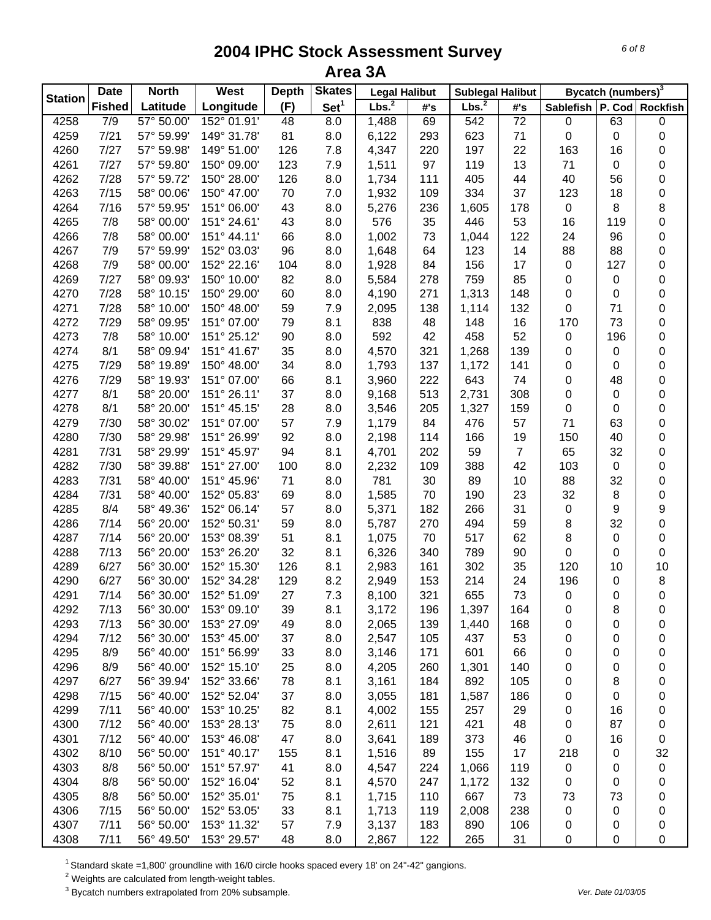| <b>Station</b> | <b>Date</b>   | <b>North</b>                  | West        | <b>Depth</b> | <b>Skates</b>    | <b>Legal Halibut</b> |     | <b>Sublegal Halibut</b> |                |                  | Bycatch (numbers) <sup>3</sup> |                 |
|----------------|---------------|-------------------------------|-------------|--------------|------------------|----------------------|-----|-------------------------|----------------|------------------|--------------------------------|-----------------|
|                | <b>Fished</b> | Latitude                      | Longitude   | (F)          | Set <sup>1</sup> | Lbs. <sup>2</sup>    | #'s | Lbs. <sup>2</sup>       | #'s            | <b>Sablefish</b> |                                | P. Cod Rockfish |
| 4258           | 7/9           | $\overline{57^{\circ} 50.00}$ | 152° 01.91' | 48           | 8.0              | 1,488                | 69  | 542                     | 72             | 0                | 63                             | $\pmb{0}$       |
| 4259           | 7/21          | 57° 59.99'                    | 149° 31.78' | 81           | 8.0              | 6,122                | 293 | 623                     | 71             | $\pmb{0}$        | 0                              | 0               |
| 4260           | 7/27          | 57° 59.98'                    | 149° 51.00' | 126          | 7.8              | 4,347                | 220 | 197                     | 22             | 163              | 16                             | 0               |
| 4261           | 7/27          | 57° 59.80'                    | 150° 09.00' | 123          | 7.9              | 1,511                | 97  | 119                     | 13             | 71               | 0                              | 0               |
| 4262           | 7/28          | 57° 59.72'                    | 150° 28.00' | 126          | 8.0              | 1,734                | 111 | 405                     | 44             | 40               | 56                             | 0               |
| 4263           | 7/15          | 58° 00.06'                    | 150° 47.00' | 70           | 7.0              | 1,932                | 109 | 334                     | 37             | 123              | 18                             | $\pmb{0}$       |
| 4264           | 7/16          | 57° 59.95'                    | 151° 06.00' | 43           | 8.0              | 5,276                | 236 | 1,605                   | 178            | $\mathbf 0$      | 8                              | $\,8\,$         |
| 4265           | 7/8           | 58° 00.00'                    | 151° 24.61' | 43           | 8.0              | 576                  | 35  | 446                     | 53             | 16               | 119                            | $\mathbf 0$     |
| 4266           | 7/8           | 58° 00.00'                    | 151° 44.11' | 66           | 8.0              | 1,002                | 73  | 1,044                   | 122            | 24               | 96                             | 0               |
| 4267           | 7/9           | 57° 59.99'                    | 152° 03.03' | 96           | 8.0              | 1,648                | 64  | 123                     | 14             | 88               | 88                             | 0               |
| 4268           | 7/9           | 58° 00.00'                    | 152° 22.16' | 104          | 8.0              | 1,928                | 84  | 156                     | 17             | $\pmb{0}$        | 127                            | 0               |
| 4269           | 7/27          | 58° 09.93'                    | 150° 10.00' | 82           | 8.0              | 5,584                | 278 | 759                     | 85             | 0                | 0                              | 0               |
| 4270           | 7/28          | 58° 10.15'                    | 150° 29.00' | 60           | 8.0              | 4,190                | 271 | 1,313                   | 148            | 0                | 0                              | 0               |
| 4271           | 7/28          | 58° 10.00'                    | 150° 48.00' | 59           | 7.9              | 2,095                | 138 | 1,114                   | 132            | 0                | 71                             | 0               |
| 4272           | 7/29          | 58° 09.95'                    | 151° 07.00' | 79           | 8.1              | 838                  | 48  | 148                     | 16             | 170              | 73                             | 0               |
| 4273           | 7/8           | 58° 10.00'                    | 151° 25.12' | 90           | 8.0              | 592                  | 42  | 458                     | 52             | $\pmb{0}$        | 196                            | 0               |
| 4274           | 8/1           | 58° 09.94'                    | 151° 41.67' | 35           | 8.0              | 4,570                | 321 | 1,268                   | 139            | 0                | 0                              | 0               |
| 4275           | 7/29          | 58° 19.89'                    | 150° 48.00' | 34           | 8.0              | 1,793                | 137 | 1,172                   | 141            | 0                | 0                              | 0               |
| 4276           | 7/29          | 58° 19.93'                    | 151° 07.00' | 66           | 8.1              | 3,960                | 222 | 643                     | 74             | 0                | 48                             | 0               |
| 4277           | 8/1           | 58° 20.00'                    | 151° 26.11' | 37           | 8.0              | 9,168                | 513 | 2,731                   | 308            | 0                | 0                              | 0               |
| 4278           | 8/1           | 58° 20.00'                    | 151° 45.15' | 28           | 8.0              | 3,546                | 205 | 1,327                   | 159            | $\mathbf 0$      | 0                              | 0               |
| 4279           | 7/30          | 58° 30.02'                    | 151° 07.00' | 57           | 7.9              | 1,179                | 84  | 476                     | 57             | 71               | 63                             | $\pmb{0}$       |
| 4280           | 7/30          | 58° 29.98'                    | 151° 26.99' | 92           | 8.0              | 2,198                | 114 | 166                     | 19             | 150              | 40                             | $\pmb{0}$       |
| 4281           | 7/31          | 58° 29.99'                    | 151° 45.97' | 94           | 8.1              | 4,701                | 202 | 59                      | $\overline{7}$ | 65               | 32                             | $\pmb{0}$       |
| 4282           | 7/30          | 58° 39.88'                    | 151° 27.00' | 100          | 8.0              | 2,232                | 109 | 388                     | 42             | 103              | $\pmb{0}$                      | $\pmb{0}$       |
| 4283           | 7/31          | 58° 40.00'                    | 151° 45.96' | 71           | 8.0              | 781                  | 30  | 89                      | 10             | 88               | 32                             | $\pmb{0}$       |
| 4284           | 7/31          | 58° 40.00'                    | 152° 05.83' | 69           | 8.0              | 1,585                | 70  | 190                     | 23             | 32               | 8                              | 0               |
| 4285           | 8/4           | 58° 49.36'                    | 152° 06.14' | 57           | 8.0              | 5,371                | 182 | 266                     | 31             | $\pmb{0}$        | 9                              | 9               |
| 4286           | 7/14          | 56° 20.00'                    | 152° 50.31' | 59           | 8.0              | 5,787                | 270 | 494                     | 59             | 8                | 32                             | $\mathbf 0$     |
| 4287           | 7/14          | 56° 20.00'                    | 153° 08.39' | 51           | 8.1              | 1,075                | 70  | 517                     | 62             | 8                | 0                              | 0               |
| 4288           | 7/13          | 56° 20.00'                    | 153° 26.20' | 32           | 8.1              | 6,326                | 340 | 789                     | 90             | 0                | 0                              | $\pmb{0}$       |
| 4289           | 6/27          | 56° 30.00'                    | 152° 15.30' | 126          | 8.1              | 2,983                | 161 | 302                     | 35             | 120              | 10                             | 10              |
| 4290           | 6/27          | 56° 30.00'                    | 152° 34.28' | 129          | 8.2              | 2,949                | 153 | 214                     | 24             | 196              | 0                              | 8               |
| 4291           | 7/14          | 56° 30.00'                    | 152° 51.09' | 27           | 7.3              | 8,100                | 321 | 655                     | 73             | $\mathsf 0$      | 0                              | $\pmb{0}$       |
| 4292           | 7/13          | 56° 30.00                     | 153° 09.10' | 39           | 8.1              | 3,172                | 196 | 1,397                   | 164            | 0                | 8                              | 0               |
| 4293           | 7/13          | 56° 30.00'                    | 153° 27.09' | 49           | 8.0              | 2,065                | 139 | 1,440                   | 168            | 0                | 0                              | 0               |
| 4294           | 7/12          | 56° 30.00'                    | 153° 45.00' | 37           | 8.0              | 2,547                | 105 | 437                     | 53             | 0                | 0                              | 0               |
| 4295           | 8/9           | 56° 40.00'                    | 151° 56.99' | 33           | 8.0              | 3,146                | 171 | 601                     | 66             | 0                | 0                              | 0               |
| 4296           | 8/9           | 56° 40.00'                    | 152° 15.10' | 25           | 8.0              | 4,205                | 260 | 1,301                   | 140            | 0                | 0                              | 0               |
| 4297           | 6/27          | 56° 39.94'                    | 152° 33.66' | 78           | 8.1              | 3,161                | 184 | 892                     | 105            | 0                | 8                              | 0               |
| 4298           | 7/15          | 56° 40.00'                    | 152° 52.04' | 37           | 8.0              | 3,055                | 181 | 1,587                   | 186            | 0                | 0                              | 0               |
| 4299           | 7/11          | 56° 40.00'                    | 153° 10.25' | 82           | 8.1              | 4,002                | 155 | 257                     | 29             | 0                | 16                             | 0               |
| 4300           | 7/12          | 56° 40.00'                    | 153° 28.13' | 75           | 8.0              | 2,611                | 121 | 421                     | 48             | 0                | 87                             | 0               |
| 4301           | 7/12          | 56° 40.00'                    | 153° 46.08' | 47           | 8.0              | 3,641                | 189 | 373                     | 46             | 0                | 16                             | 0               |
| 4302           | 8/10          | 56° 50.00'                    | 151° 40.17' | 155          | 8.1              | 1,516                | 89  | 155                     | 17             | 218              | 0                              | 32              |
|                |               |                               |             |              |                  |                      |     |                         |                |                  |                                |                 |
| 4303           | 8/8           | 56° 50.00'<br>56° 50.00'      | 151° 57.97' | 41           | 8.0              | 4,547                | 224 | 1,066                   | 119            | 0                | 0                              | 0               |
| 4304           | 8/8           |                               | 152° 16.04' | 52           | 8.1              | 4,570                | 247 | 1,172                   | 132            | 0                | 0                              | 0               |
| 4305           | 8/8           | 56° 50.00'                    | 152° 35.01' | 75           | 8.1              | 1,715                | 110 | 667                     | 73             | 73               | 73                             | 0               |
| 4306           | 7/15          | 56° 50.00'                    | 152° 53.05' | 33           | 8.1              | 1,713                | 119 | 2,008                   | 238            | $\pmb{0}$        | 0                              | 0               |
| 4307           | 7/11          | 56° 50.00'                    | 153° 11.32' | 57           | 7.9              | 3,137                | 183 | 890                     | 106            | 0                | 0                              | 0               |
| 4308           | 7/11          | 56° 49.50'                    | 153° 29.57' | 48           | 8.0              | 2,867                | 122 | 265                     | 31             | $\mathbf 0$      | 0                              | 0               |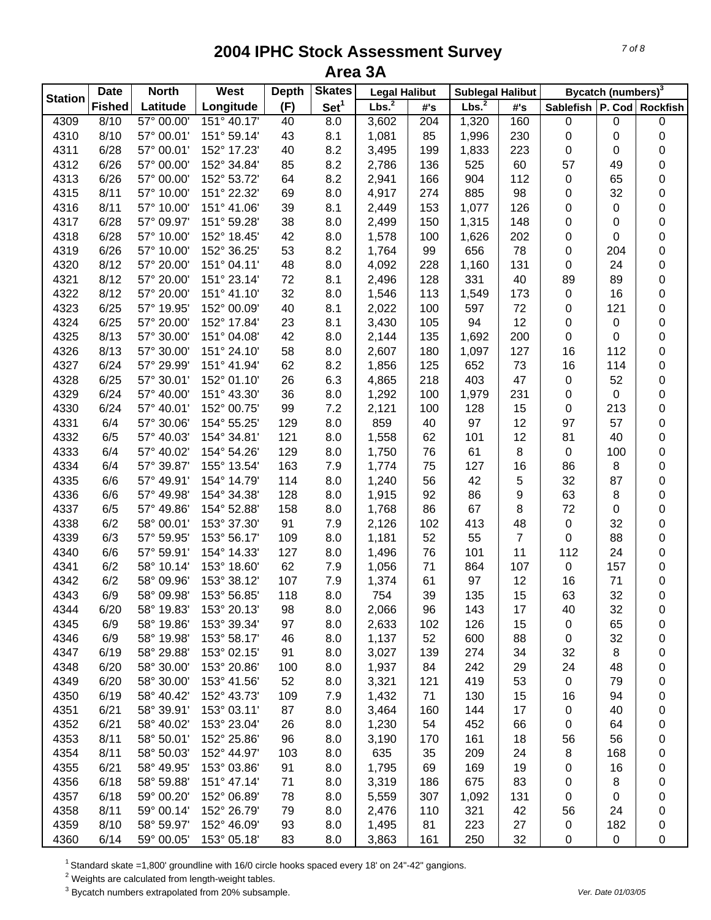| <b>Station</b> | <b>Date</b>   | <b>North</b> | West        | <b>Depth</b> | <b>Skates</b>    | <b>Legal Halibut</b> |     | <b>Sublegal Halibut</b> |                |                               | Bycatch (numbers) <sup>3</sup> |                  |
|----------------|---------------|--------------|-------------|--------------|------------------|----------------------|-----|-------------------------|----------------|-------------------------------|--------------------------------|------------------|
|                | <b>Fished</b> | Latitude     | Longitude   | (F)          | Set <sup>1</sup> | Lbs. <sup>2</sup>    | #'s | Lbs. $^2$               | #'s            | Sablefish   P. Cod   Rockfish |                                |                  |
| 4309           | 8/10          | 57° 00.00    | 151° 40.17' | 40           | 8.0              | 3,602                | 204 | 1,320                   | 160            | $\pmb{0}$                     | $\mathbf 0$                    | 0                |
| 4310           | 8/10          | 57° 00.01'   | 151° 59.14' | 43           | 8.1              | 1,081                | 85  | 1,996                   | 230            | 0                             | 0                              | 0                |
| 4311           | 6/28          | 57° 00.01'   | 152° 17.23' | 40           | 8.2              | 3,495                | 199 | 1,833                   | 223            | 0                             | 0                              | 0                |
| 4312           | 6/26          | 57° 00.00'   | 152° 34.84' | 85           | 8.2              | 2,786                | 136 | 525                     | 60             | 57                            | 49                             | 0                |
| 4313           | 6/26          | 57° 00.00'   | 152° 53.72' | 64           | 8.2              | 2,941                | 166 | 904                     | 112            | $\pmb{0}$                     | 65                             | 0                |
| 4315           | 8/11          | 57° 10.00'   | 151° 22.32' | 69           | 8.0              | 4,917                | 274 | 885                     | 98             | $\boldsymbol{0}$              | 32                             | 0                |
| 4316           | 8/11          | 57° 10.00'   | 151° 41.06' | 39           | 8.1              | 2,449                | 153 | 1,077                   | 126            | $\boldsymbol{0}$              | $\pmb{0}$                      | 0                |
| 4317           | 6/28          | 57° 09.97'   | 151° 59.28' | 38           | 8.0              | 2,499                | 150 | 1,315                   | 148            | $\boldsymbol{0}$              | 0                              | 0                |
| 4318           | 6/28          | 57° 10.00'   | 152° 18.45' | 42           | 8.0              | 1,578                | 100 | 1,626                   | 202            | $\boldsymbol{0}$              | 0                              | 0                |
| 4319           | 6/26          | 57° 10.00'   | 152° 36.25' | 53           | 8.2              | 1,764                | 99  | 656                     | 78             | $\boldsymbol{0}$              | 204                            | 0                |
| 4320           | 8/12          | 57° 20.00'   | 151° 04.11' | 48           | 8.0              | 4,092                | 228 | 1,160                   | 131            | $\pmb{0}$                     | 24                             | 0                |
| 4321           | 8/12          | 57° 20.00'   | 151° 23.14' | 72           | 8.1              | 2,496                | 128 | 331                     | 40             | 89                            | 89                             | 0                |
| 4322           | 8/12          | 57° 20.00'   | 151° 41.10' | 32           | 8.0              | 1,546                | 113 | 1,549                   | 173            | $\pmb{0}$                     | 16                             | 0                |
| 4323           | 6/25          | 57° 19.95'   | 152° 00.09' | 40           | 8.1              | 2,022                | 100 | 597                     | 72             | 0                             | 121                            | 0                |
| 4324           | 6/25          | 57° 20.00'   | 152° 17.84' | 23           | 8.1              | 3,430                | 105 | 94                      | 12             | 0                             | 0                              | 0                |
| 4325           | 8/13          | 57° 30.00'   | 151° 04.08' | 42           | 8.0              | 2,144                | 135 | 1,692                   | 200            | $\pmb{0}$                     | 0                              | 0                |
| 4326           | 8/13          | 57° 30.00'   | 151° 24.10' | 58           | 8.0              | 2,607                | 180 | 1,097                   | 127            | 16                            | 112                            | 0                |
| 4327           | 6/24          | 57° 29.99'   | 151° 41.94' | 62           | 8.2              | 1,856                | 125 | 652                     | 73             | 16                            | 114                            | 0                |
| 4328           | 6/25          | 57° 30.01'   | 152° 01.10' | 26           | 6.3              | 4,865                | 218 | 403                     | 47             | $\pmb{0}$                     | 52                             | 0                |
| 4329           | 6/24          | 57° 40.00'   | 151° 43.30' | 36           | 8.0              | 1,292                | 100 | 1,979                   | 231            | 0                             | $\pmb{0}$                      | 0                |
| 4330           | 6/24          | 57° 40.01'   | 152° 00.75' | 99           | 7.2              | 2,121                | 100 | 128                     | 15             | $\boldsymbol{0}$              | 213                            | 0                |
| 4331           | 6/4           | 57° 30.06'   | 154° 55.25' | 129          | 8.0              | 859                  | 40  | 97                      | 12             | 97                            | 57                             | 0                |
| 4332           | 6/5           | 57° 40.03'   | 154° 34.81' | 121          | 8.0              | 1,558                | 62  | 101                     | 12             | 81                            | 40                             | 0                |
| 4333           | 6/4           | 57° 40.02'   | 154° 54.26' | 129          | 8.0              | 1,750                | 76  | 61                      | 8              | $\mathbf 0$                   | 100                            | 0                |
| 4334           | 6/4           | 57° 39.87'   | 155° 13.54' | 163          | 7.9              | 1,774                | 75  | 127                     | 16             | 86                            | 8                              | 0                |
| 4335           | 6/6           | 57° 49.91'   | 154° 14.79' | 114          | 8.0              | 1,240                | 56  | 42                      | 5              | 32                            | 87                             | 0                |
| 4336           | 6/6           | 57° 49.98'   | 154° 34.38' | 128          | 8.0              | 1,915                | 92  | 86                      | 9              | 63                            | 8                              | 0                |
| 4337           | 6/5           | 57° 49.86'   | 154° 52.88' | 158          | 8.0              | 1,768                | 86  | 67                      | 8              | 72                            | 0                              | 0                |
| 4338           | 6/2           | 58° 00.01'   | 153° 37.30' | 91           | 7.9              | 2,126                | 102 | 413                     | 48             | $\pmb{0}$                     | 32                             | 0                |
| 4339           | 6/3           | 57° 59.95'   | 153° 56.17' | 109          | 8.0              | 1,181                | 52  | 55                      | $\overline{7}$ | $\mathbf 0$                   | 88                             | 0                |
| 4340           | 6/6           | 57° 59.91'   | 154° 14.33' | 127          | 8.0              | 1,496                | 76  | 101                     | 11             | 112                           | 24                             | 0                |
| 4341           | 6/2           | 58° 10.14'   | 153° 18.60' | 62           | 7.9              |                      | 71  | 864                     | 107            | $\pmb{0}$                     | 157                            |                  |
|                |               | 58° 09.96'   | 153° 38.12' |              |                  | 1,056                |     |                         |                |                               |                                | 0                |
| 4342           | 6/2           |              |             | 107          | 7.9              | 1,374                | 61  | 97                      | 12             | 16<br>63                      | 71<br>32                       | 0<br>$\mathbf 0$ |
| 4343           | 6/9           | 58° 09.98'   | 153° 56.85' | 118          | 8.0              | 754                  | 39  | 135                     | 15             |                               |                                |                  |
| 4344           | 6/20          | 58° 19.83'   | 153° 20.13' | 98           | 8.0              | 2,066                | 96  | 143                     | 17             | 40                            | 32                             | 0                |
| 4345           | 6/9           | 58° 19.86'   | 153° 39.34' | 97           | 8.0              | 2,633                | 102 | 126                     | 15             | 0                             | 65                             | 0                |
| 4346           | 6/9           | 58° 19.98'   | 153° 58.17' | 46           | 8.0              | 1,137                | 52  | 600                     | 88             | 0                             | 32                             | 0                |
| 4347           | 6/19          | 58° 29.88'   | 153° 02.15' | 91           | 8.0              | 3,027                | 139 | 274                     | 34             | 32                            | 8                              | 0                |
| 4348           | 6/20          | 58° 30.00'   | 153° 20.86' | 100          | 8.0              | 1,937                | 84  | 242                     | 29             | 24                            | 48                             | 0                |
| 4349           | 6/20          | 58° 30.00'   | 153° 41.56' | 52           | 8.0              | 3,321                | 121 | 419                     | 53             | $\mathbf 0$                   | 79                             | 0                |
| 4350           | 6/19          | 58° 40.42'   | 152° 43.73' | 109          | 7.9              | 1,432                | 71  | 130                     | 15             | 16                            | 94                             | 0                |
| 4351           | 6/21          | 58° 39.91'   | 153° 03.11' | 87           | 8.0              | 3,464                | 160 | 144                     | 17             | 0                             | 40                             | 0                |
| 4352           | 6/21          | 58° 40.02'   | 153° 23.04' | 26           | 8.0              | 1,230                | 54  | 452                     | 66             | 0                             | 64                             | 0                |
| 4353           | 8/11          | 58° 50.01'   | 152° 25.86' | 96           | 8.0              | 3,190                | 170 | 161                     | 18             | 56                            | 56                             | 0                |
| 4354           | 8/11          | 58° 50.03'   | 152° 44.97' | 103          | 8.0              | 635                  | 35  | 209                     | 24             | 8                             | 168                            | 0                |
| 4355           | 6/21          | 58° 49.95'   | 153° 03.86' | 91           | 8.0              | 1,795                | 69  | 169                     | 19             | 0                             | 16                             | 0                |
| 4356           | 6/18          | 58° 59.88'   | 151° 47.14' | 71           | 8.0              | 3,319                | 186 | 675                     | 83             | 0                             | 8                              | 0                |
| 4357           | 6/18          | 59° 00.20'   | 152° 06.89' | 78           | 8.0              | 5,559                | 307 | 1,092                   | 131            | 0                             | 0                              | 0                |
| 4358           | 8/11          | 59° 00.14'   | 152° 26.79' | 79           | 8.0              | 2,476                | 110 | 321                     | 42             | 56                            | 24                             | 0                |
| 4359           | 8/10          | 58° 59.97'   | 152° 46.09' | 93           | 8.0              | 1,495                | 81  | 223                     | 27             | 0                             | 182                            | 0                |
| 4360           | 6/14          | 59° 00.05'   | 153° 05.18' | 83           | 8.0              | 3,863                | 161 | 250                     | 32             | 0                             | $\pmb{0}$                      | 0                |